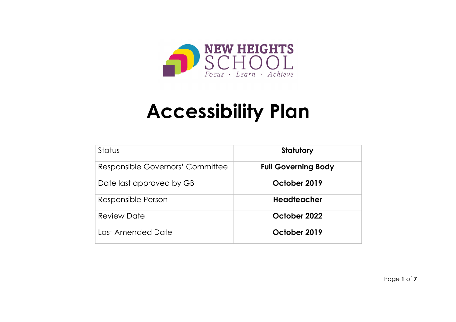

# **Accessibility Plan**

| <b>Status</b>                    | <b>Statutory</b>           |
|----------------------------------|----------------------------|
| Responsible Governors' Committee | <b>Full Governing Body</b> |
| Date last approved by GB         | October 2019               |
| Responsible Person               | <b>Headteacher</b>         |
| <b>Review Date</b>               | October 2022               |
| Last Amended Date                | October 2019               |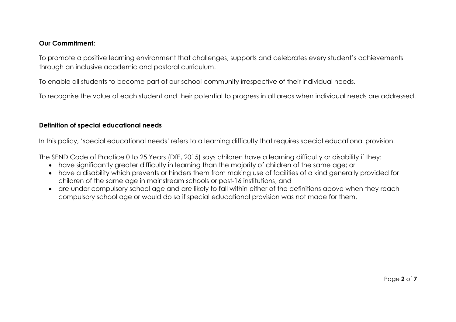#### **Our Commitment:**

To promote a positive learning environment that challenges, supports and celebrates every student's achievements through an inclusive academic and pastoral curriculum.

To enable all students to become part of our school community irrespective of their individual needs.

To recognise the value of each student and their potential to progress in all areas when individual needs are addressed.

#### **Definition of special educational needs**

In this policy, 'special educational needs' refers to a learning difficulty that requires special educational provision.

The SEND Code of Practice 0 to 25 Years (DfE, 2015) says children have a learning difficulty or disability if they:

- have significantly greater difficulty in learning than the majority of children of the same age; or
- have a disability which prevents or hinders them from making use of facilities of a kind generally provided for children of the same age in mainstream schools or post-16 institutions; and
- are under compulsory school age and are likely to fall within either of the definitions above when they reach compulsory school age or would do so if special educational provision was not made for them.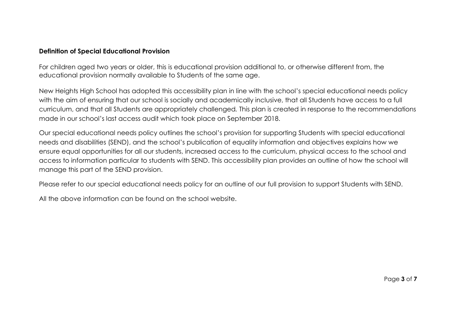### **Definition of Special Educational Provision**

For children aged two years or older, this is educational provision additional to, or otherwise different from, the educational provision normally available to Students of the same age.

New Heights High School has adopted this accessibility plan in line with the school's special educational needs policy with the aim of ensuring that our school is socially and academically inclusive, that all Students have access to a full curriculum, and that all Students are appropriately challenged*.* This plan is created in response to the recommendations made in our school's last access audit which took place on September 2018.

Our special educational needs policy outlines the school's provision for supporting Students with special educational needs and disabilities (SEND), and the school's publication of equality information and objectives explains how we ensure equal opportunities for all our students, increased access to the curriculum, physical access to the school and access to information particular to students with SEND. This accessibility plan provides an outline of how the school will manage this part of the SEND provision.

Please refer to our special educational needs policy for an outline of our full provision to support Students with SEND.

All the above information can be found on the school website.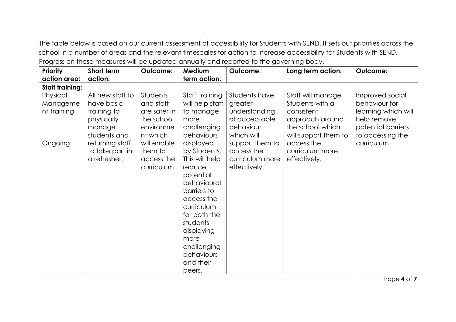The table below is based on our current assessment of accessibility for Students with SEND. It sets out priorities across the school in a number of areas and the relevant timescales for action to increase accessibility for Students with SEND. Progress on these measures will be updated annually and reported to the governing body.

| <b>Priority</b>        | Short term       | Outcome:     | Medium          | <b>Outcome:</b> | Long term action:    | <b>Outcome:</b>     |
|------------------------|------------------|--------------|-----------------|-----------------|----------------------|---------------------|
| action area:           | action:          |              | term action:    |                 |                      |                     |
| <b>Staff training:</b> |                  |              |                 |                 |                      |                     |
| Physical               | All new staff to | Students     | Staff training  | Students have   | Staff will manage    | Improved social     |
| Manageme               | have basic       | and staff    | will help staff | greater         | Students with a      | behaviour for       |
| nt Training            | training to      | are safer in | to manage       | understanding   | consistent           | learning which will |
|                        | physically       | the school   | more            | of acceptable   | approach around      | help remove         |
|                        | manage           | environme    | challenging     | behaviour       | the school which     | potential barriers  |
|                        | students and     | nt which     | behaviours      | which will      | will support them to | to accessing the    |
| Ongoing                | returning staff  | will enable  | displayed       | support them to | access the           | curriculum.         |
|                        | to take part in  | them to      | by Students.    | access the      | curriculum more      |                     |
|                        | a refresher.     | access the   | This will help  | curriculum more | effectively.         |                     |
|                        |                  | curriculum.  | reduce          | effectively.    |                      |                     |
|                        |                  |              | potential       |                 |                      |                     |
|                        |                  |              | behavioural     |                 |                      |                     |
|                        |                  |              | barriers to     |                 |                      |                     |
|                        |                  |              | access the      |                 |                      |                     |
|                        |                  |              | curriculum      |                 |                      |                     |
|                        |                  |              | for both the    |                 |                      |                     |
|                        |                  |              | students        |                 |                      |                     |
|                        |                  |              | displaying      |                 |                      |                     |
|                        |                  |              | more            |                 |                      |                     |
|                        |                  |              | challenging     |                 |                      |                     |
|                        |                  |              | behaviours      |                 |                      |                     |
|                        |                  |              | and their       |                 |                      |                     |
|                        |                  |              | peers.          |                 |                      |                     |

Page **4** of **7**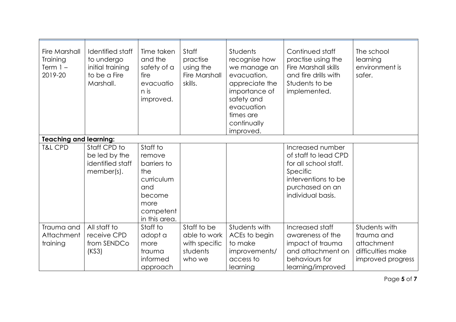| <b>Fire Marshall</b><br><b>Training</b><br>Term $1 -$<br>2019-20 | Identified staff<br>to undergo<br>initial training<br>to be a Fire<br>Marshall. | Time taken<br>and the<br>safety of a<br>fire<br>evacuatio<br>n is<br>improved.                                | Staff<br>practise<br>using the<br>Fire Marshall<br>skills.         | Students<br>recognise how<br>we manage an<br>evacuation,<br>appreciate the<br>importance of<br>safety and<br>evacuation<br>times are<br>continually<br>improved. | Continued staff<br>practise using the<br>Fire Marshall skills<br>and fire drills with<br>Students to be<br>implemented.                      | The school<br>learning<br>environment is<br>safer.                                  |
|------------------------------------------------------------------|---------------------------------------------------------------------------------|---------------------------------------------------------------------------------------------------------------|--------------------------------------------------------------------|------------------------------------------------------------------------------------------------------------------------------------------------------------------|----------------------------------------------------------------------------------------------------------------------------------------------|-------------------------------------------------------------------------------------|
| <b>Teaching and learning:</b>                                    |                                                                                 |                                                                                                               |                                                                    |                                                                                                                                                                  |                                                                                                                                              |                                                                                     |
| <b>T&amp;L CPD</b>                                               | Staff CPD to<br>be led by the<br>identified staff<br>member(s).                 | Staff to<br>remove<br>barriers to<br>the<br>curriculum<br>and<br>become<br>more<br>competent<br>in this area. |                                                                    |                                                                                                                                                                  | Increased number<br>of staff to lead CPD<br>for all school staff.<br>Specific<br>interventions to be<br>purchased on an<br>individual basis. |                                                                                     |
| Trauma and<br>Attachment<br>training                             | All staff to<br>receive CPD<br>from SENDCo<br>(KS3)                             | Staff to<br>adopt a<br>more<br>trauma<br>informed<br>approach                                                 | Staff to be<br>able to work<br>with specific<br>students<br>who we | Students with<br>ACEs to begin<br>to make<br>improvements/<br>access to<br>learning                                                                              | Increased staff<br>awareness of the<br>impact of trauma<br>and attachment on<br>behaviours for<br>learning/improved                          | Students with<br>trauma and<br>attachment<br>difficulties make<br>improved progress |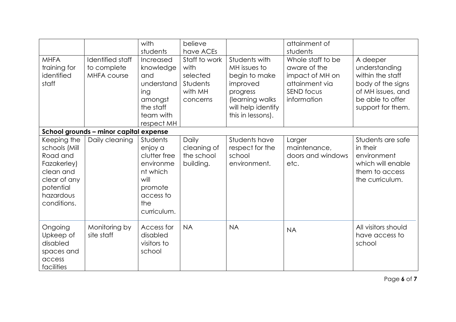|                                                                                                                               |                                                       | with<br>students                                                                                                          | believe<br>have ACEs                                                        |                                                                                                                                       | attainment of<br>students                                                                                  |                                                                                                                                  |
|-------------------------------------------------------------------------------------------------------------------------------|-------------------------------------------------------|---------------------------------------------------------------------------------------------------------------------------|-----------------------------------------------------------------------------|---------------------------------------------------------------------------------------------------------------------------------------|------------------------------------------------------------------------------------------------------------|----------------------------------------------------------------------------------------------------------------------------------|
| <b>MHFA</b><br>training for<br>identified<br>staff                                                                            | Identified staff<br>to complete<br><b>MHFA course</b> | Increased<br>knowledge<br>and<br>understand<br>ing<br>amongst<br>the staff<br>team with<br>respect MH                     | Staff to work<br>with<br>selected<br><b>Students</b><br>with MH<br>concerns | Students with<br>MH issues to<br>begin to make<br>improved<br>progress<br>(learning walks)<br>will help identify<br>this in lessons). | Whole staff to be<br>aware of the<br>impact of MH on<br>attainment via<br><b>SEND focus</b><br>information | A deeper<br>understanding<br>within the staff<br>body of the signs<br>of MH issues, and<br>be able to offer<br>support for them. |
| School grounds - minor capital expense                                                                                        |                                                       |                                                                                                                           |                                                                             |                                                                                                                                       |                                                                                                            |                                                                                                                                  |
| Keeping the<br>schools (Mill<br>Road and<br>Fazakerley)<br>clean and<br>clear of any<br>potential<br>hazardous<br>conditions. | Daily cleaning                                        | <b>Students</b><br>enjoy a<br>clutter free<br>environme<br>nt which<br>will<br>promote<br>access to<br>the<br>curriculum. | Daily<br>cleaning of<br>the school<br>building.                             | Students have<br>respect for the<br>school<br>environment.                                                                            | Larger<br>maintenance,<br>doors and windows<br>etc.                                                        | Students are safe<br>in their<br>environment<br>which will enable<br>them to access<br>the curriculum.                           |
| Ongoing<br>Upkeep of<br>disabled<br>spaces and<br>access<br>facilities                                                        | Monitoring by<br>site staff                           | Access for<br>disabled<br>visitors to<br>school                                                                           | <b>NA</b>                                                                   | <b>NA</b>                                                                                                                             | <b>NA</b>                                                                                                  | All visitors should<br>have access to<br>school                                                                                  |

Page **6** of **7**